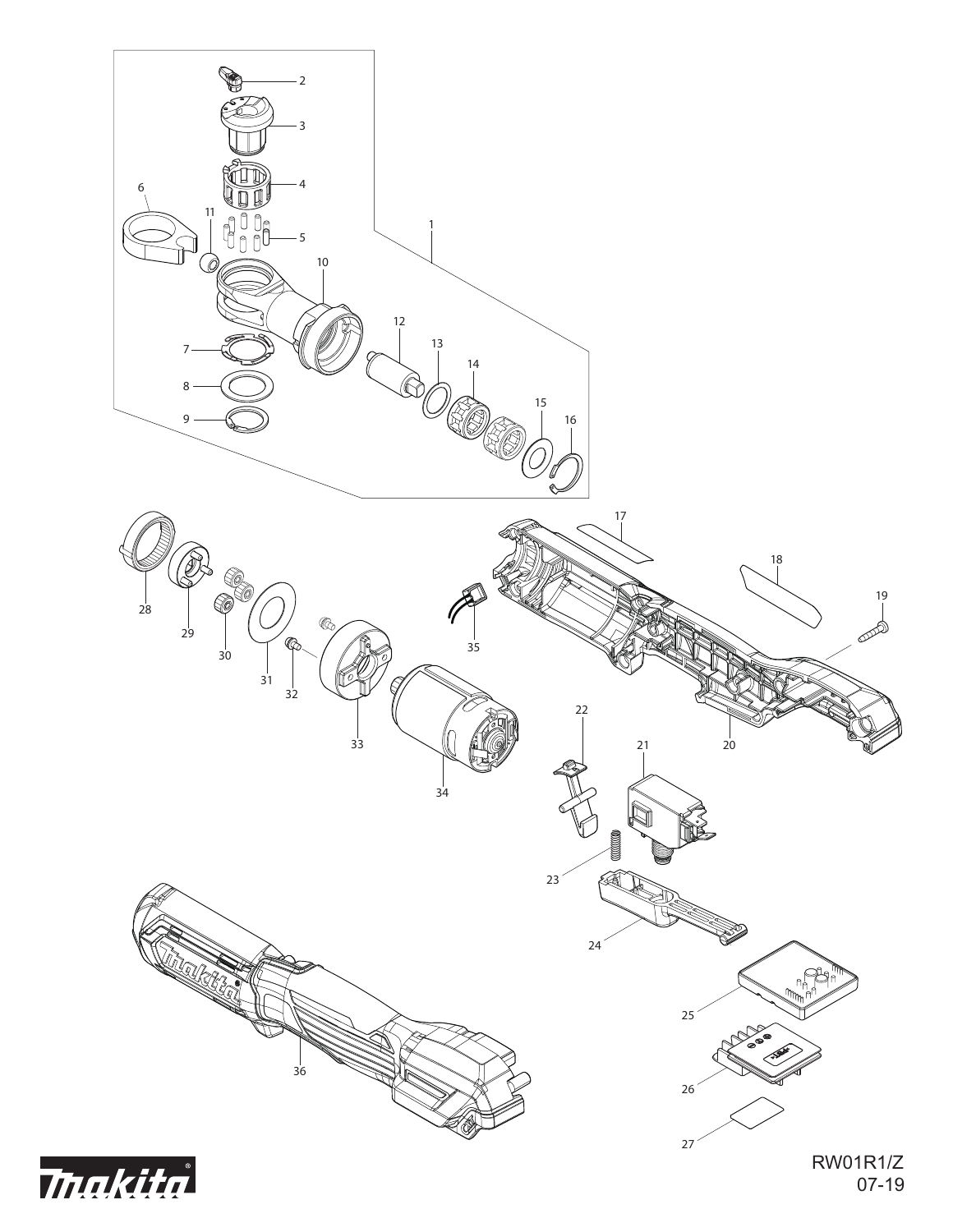